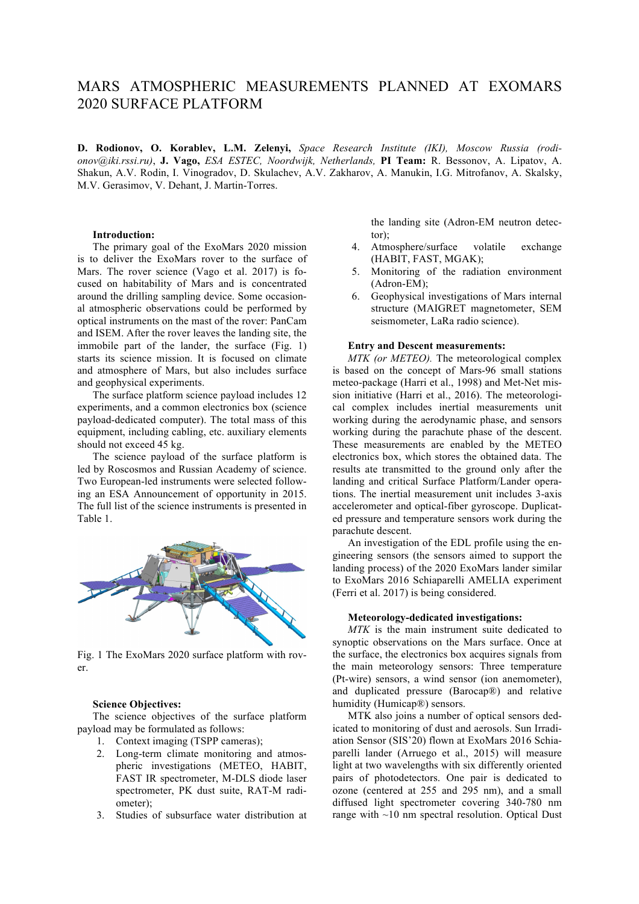# MARS ATMOSPHERIC MEASUREMENTS PLANNED AT EXOMARS 2020 SURFACE PLATFORM

**D. Rodionov, O. Korablev, L.M. Zelenyi,** *Space Research Institute (IKI), Moscow Russia (rodionov@iki.rssi.ru)*, **J. Vago,** *ESA ESTEC, Noordwijk, Netherlands,* **PI Team:** R. Bessonov, A. Lipatov, A. Shakun, A.V. Rodin, I. Vinogradov, D. Skulachev, A.V. Zakharov, A. Manukin, I.G. Mitrofanov, A. Skalsky, M.V. Gerasimov, V. Dehant, J. Martin-Torres.

#### **Introduction:**

The primary goal of the ExoMars 2020 mission is to deliver the ExoMars rover to the surface of Mars. The rover science (Vago et al. 2017) is focused on habitability of Mars and is concentrated around the drilling sampling device. Some occasional atmospheric observations could be performed by optical instruments on the mast of the rover: PanCam and ISEM. After the rover leaves the landing site, the immobile part of the lander, the surface (Fig. 1) starts its science mission. It is focused on climate and atmosphere of Mars, but also includes surface and geophysical experiments.

The surface platform science payload includes 12 experiments, and a common electronics box (science payload-dedicated computer). The total mass of this equipment, including cabling, etc. auxiliary elements should not exceed 45 kg.

The science payload of the surface platform is led by Roscosmos and Russian Academy of science. Two European-led instruments were selected following an ESA Announcement of opportunity in 2015. The full list of the science instruments is presented in Table 1.



Fig. 1 The ExoMars 2020 surface platform with rover.

#### **Science Objectives:**

The science objectives of the surface platform payload may be formulated as follows:

- 1. Context imaging (TSPP cameras);
- 2. Long-term climate monitoring and atmospheric investigations (METEO, HABIT, FAST IR spectrometer, M-DLS diode laser spectrometer, PK dust suite, RAT-M radiometer);
- 3. Studies of subsurface water distribution at

the landing site (Adron-EM neutron detector);

- 4. Atmosphere/surface volatile exchange (HABIT, FAST, MGAK);
- 5. Monitoring of the radiation environment (Adron-EM);
- 6. Geophysical investigations of Mars internal structure (MAIGRET magnetometer, SEM seismometer, LaRa radio science).

### **Entry and Descent measurements:**

*MTK (or METEO).* The meteorological complex is based on the concept of Mars-96 small stations meteo-package (Harri et al., 1998) and Met-Net mission initiative (Harri et al., 2016). The meteorological complex includes inertial measurements unit working during the aerodynamic phase, and sensors working during the parachute phase of the descent. These measurements are enabled by the METEO electronics box, which stores the obtained data. The results ate transmitted to the ground only after the landing and critical Surface Platform/Lander operations. The inertial measurement unit includes 3-axis accelerometer and optical-fiber gyroscope. Duplicated pressure and temperature sensors work during the parachute descent.

An investigation of the EDL profile using the engineering sensors (the sensors aimed to support the landing process) of the 2020 ExoMars lander similar to ExoMars 2016 Schiaparelli AMELIA experiment (Ferri et al. 2017) is being considered.

#### **Meteorology-dedicated investigations:**

*MTK* is the main instrument suite dedicated to synoptic observations on the Mars surface. Once at the surface, the electronics box acquires signals from the main meteorology sensors: Three temperature (Pt-wire) sensors, a wind sensor (ion anemometer), and duplicated pressure (Barocap®) and relative humidity (Humicap®) sensors.

MTK also joins a number of optical sensors dedicated to monitoring of dust and aerosols. Sun Irradiation Sensor (SIS'20) flown at ExoMars 2016 Schiaparelli lander (Arruego et al., 2015) will measure light at two wavelengths with six differently oriented pairs of photodetectors. One pair is dedicated to ozone (centered at 255 and 295 nm), and a small diffused light spectrometer covering 340-780 nm range with ~10 nm spectral resolution. Optical Dust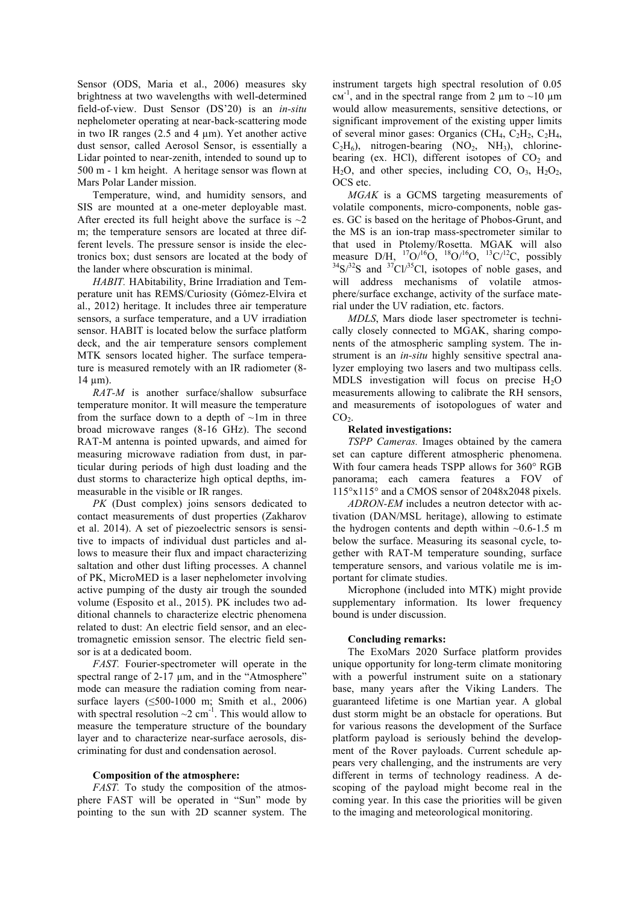Sensor (ODS, Maria et al., 2006) measures sky brightness at two wavelengths with well-determined field-of-view. Dust Sensor (DS'20) is an *in-situ* nephelometer operating at near-back-scattering mode in two IR ranges  $(2.5 \text{ and } 4 \text{ µm})$ . Yet another active dust sensor, called Aerosol Sensor, is essentially a Lidar pointed to near-zenith, intended to sound up to 500 m - 1 km height. A heritage sensor was flown at Mars Polar Lander mission.

Temperature, wind, and humidity sensors, and SIS are mounted at a one-meter deployable mast. After erected its full height above the surface is  $\sim$ 2 m; the temperature sensors are located at three different levels. The pressure sensor is inside the electronics box; dust sensors are located at the body of the lander where obscuration is minimal.

*HABIT.* HAbitability, Brine Irradiation and Temperature unit has REMS/Curiosity (Gómez-Elvira et al., 2012) heritage. It includes three air temperature sensors, a surface temperature, and a UV irradiation sensor. HABIT is located below the surface platform deck, and the air temperature sensors complement MTK sensors located higher. The surface temperature is measured remotely with an IR radiometer (8-  $14 \mu m$ ).

*RAT-M* is another surface/shallow subsurface temperature monitor. It will measure the temperature from the surface down to a depth of  $\sim$ 1m in three broad microwave ranges (8-16 GHz). The second RAT-M antenna is pointed upwards, and aimed for measuring microwave radiation from dust, in particular during periods of high dust loading and the dust storms to characterize high optical depths, immeasurable in the visible or IR ranges.

*PK* (Dust complex) joins sensors dedicated to contact measurements of dust properties (Zakharov et al. 2014). A set of piezoelectric sensors is sensitive to impacts of individual dust particles and allows to measure their flux and impact characterizing saltation and other dust lifting processes. A channel of PK, MicroMED is a laser nephelometer involving active pumping of the dusty air trough the sounded volume (Esposito et al., 2015). PK includes two additional channels to characterize electric phenomena related to dust: An electric field sensor, and an electromagnetic emission sensor. The electric field sensor is at a dedicated boom.

*FAST.* Fourier-spectrometer will operate in the spectral range of 2-17  $\mu$ m, and in the "Atmosphere" mode can measure the radiation coming from nearsurface layers  $( \leq 500 - 1000 \text{ m}$ ; Smith et al., 2006) with spectral resolution  $\sim$ 2 cm<sup>-1</sup>. This would allow to measure the temperature structure of the boundary layer and to characterize near-surface aerosols, discriminating for dust and condensation aerosol.

#### **Composition of the atmosphere:**

*FAST*. To study the composition of the atmosphere FAST will be operated in "Sun" mode by pointing to the sun with 2D scanner system. The instrument targets high spectral resolution of 0.05  $\text{cm}^{-1}$ , and in the spectral range from 2  $\mu$ m to ~10  $\mu$ m would allow measurements, sensitive detections, or significant improvement of the existing upper limits of several minor gases: Organics (CH<sub>4</sub>,  $C_2H_2$ ,  $C_2H_4$ ,  $C_2H_6$ ), nitrogen-bearing  $(NO_2, NH_3)$ , chlorinebearing (ex. HCl), different isotopes of  $CO<sub>2</sub>$  and  $H<sub>2</sub>O$ , and other species, including CO,  $O<sub>3</sub>$ ,  $H<sub>2</sub>O<sub>2</sub>$ , OCS etc.

*MGAK* is a GCMS targeting measurements of volatile components, micro-components, noble gases. GC is based on the heritage of Phobos-Grunt, and the MS is an ion-trap mass-spectrometer similar to that used in Ptolemy/Rosetta. MGAK will also measure D/H,  $^{17}O/^{16}O$ ,  $^{18}O/^{16}O$ ,  $^{13}C/$ measure D/H,  $^{17}O/^{16}O$ ,  $^{18}O/^{16}O$ ,  $^{13}C/^{12}C$ , possibly  $^{34}S/^{32}S$  and  $^{37}Cl/^{35}Cl$ , isotopes of noble gases, and will address mechanisms of volatile atmosphere/surface exchange, activity of the surface material under the UV radiation, etc. factors.

*MDLS*, Mars diode laser spectrometer is technically closely connected to MGAK, sharing components of the atmospheric sampling system. The instrument is an *in-situ* highly sensitive spectral analyzer employing two lasers and two multipass cells. MDLS investigation will focus on precise  $H_2O$ measurements allowing to calibrate the RH sensors, and measurements of isotopologues of water and  $CO<sub>2</sub>$ .

## **Related investigations:**

*TSPP Cameras.* Images obtained by the camera set can capture different atmospheric phenomena. With four camera heads TSPP allows for 360° RGB panorama; each camera features a FOV of 115°x115° and a CMOS sensor of 2048x2048 pixels.

*ADRON-EM* includes a neutron detector with activation (DAN/MSL heritage), allowing to estimate the hydrogen contents and depth within  $\sim 0.6$ -1.5 m below the surface. Measuring its seasonal cycle, together with RAT-M temperature sounding, surface temperature sensors, and various volatile me is important for climate studies.

Microphone (included into MTK) might provide supplementary information. Its lower frequency bound is under discussion.

# **Concluding remarks:**

The ExoMars 2020 Surface platform provides unique opportunity for long-term climate monitoring with a powerful instrument suite on a stationary base, many years after the Viking Landers. The guaranteed lifetime is one Martian year. A global dust storm might be an obstacle for operations. But for various reasons the development of the Surface platform payload is seriously behind the development of the Rover payloads. Current schedule appears very challenging, and the instruments are very different in terms of technology readiness. A descoping of the payload might become real in the coming year. In this case the priorities will be given to the imaging and meteorological monitoring.